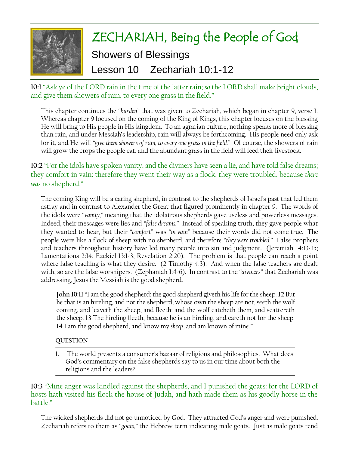

**10:1** "Ask ye of the LORD rain in the time of the latter rain; *so* the LORD shall make bright clouds, and give them showers of rain, to every one grass in the field."

This chapter continues the *"burden"* that was given to Zechariah, which began in chapter 9, verse 1. Whereas chapter 9 focused on the coming of the King of Kings, this chapter focuses on the blessing He will bring to His people in His kingdom. To an agrarian culture, nothing speaks more of blessing than rain, and under Messiah's leadership, rain will always be forthcoming. His people need only ask for it, and He will *"give them showers of rain, to every one grass in the field."* Of course, the showers of rain will grow the crops the people eat, and the abundant grass in the field will feed their livestock.

# **10:2** "For the idols have spoken vanity, and the diviners have seen a lie, and have told false dreams; they comfort in vain: therefore they went their way as a flock, they were troubled, because *there was* no shepherd."

The coming King will be a caring shepherd, in contrast to the shepherds of Israel's past that led them astray and in contrast to Alexander the Great that figured prominently in chapter 9. The words of the idols were *"vanity,*" meaning that the idolatrous shepherds gave useless and powerless messages. Indeed, their messages were lies and *"false dreams."* Instead of speaking truth, they gave people what they wanted to hear, but their *"comfort"* was *"in vain"* because their words did not come true. The people were like a flock of sheep with no shepherd, and therefore *"they were troubled."* False prophets and teachers throughout history have led many people into sin and judgment. (Jeremiah 14:13-15; Lamentations 2:14; Ezekiel 13:1-3; Revelation 2:20). The problem is that people can reach a point where false teaching is what they desire. (2 Timothy 4:3). And when the false teachers are dealt with, so are the false worshipers. (Zephaniah 1:4-6). In contrast to the *"diviners"* that Zechariah was addressing, Jesus the Messiah is the good shepherd.

**John 10:11** "I am the good shepherd: the good shepherd giveth his life for the sheep. **12** But he that is an hireling, and not the shepherd, whose own the sheep are not, seeth the wolf coming, and leaveth the sheep, and fleeth: and the wolf catcheth them, and scattereth the sheep. **13** The hireling fleeth, because he is an hireling, and careth not for the sheep. **14** I am the good shepherd, and know my *sheep*, and am known of mine."

#### **QUESTION**

1. The world presents a consumer's bazaar of religions and philosophies. What does God's commentary on the false shepherds say to us in our time about both the religions and the leaders?

**10:3** "Mine anger was kindled against the shepherds, and I punished the goats: for the LORD of hosts hath visited his flock the house of Judah, and hath made them as his goodly horse in the battle."

The wicked shepherds did not go unnoticed by God. They attracted God's anger and were punished. Zechariah refers to them as *"goats,"* the Hebrew term indicating male goats. Just as male goats tend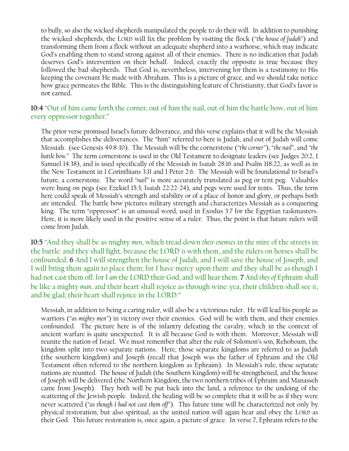to bully, so also the wicked shepherds manipulated the people to do their will. In addition to punishing the wicked shepherds, the LORD will fix the problem by visiting the flock (*"the house of Judah"*) and transforming them from a flock without an adequate shepherd into a warhorse, which may indicate God's enabling them to stand strong against all of their enemies. There is no indication that Judah deserves God's intervention on their behalf. Indeed, exactly the opposite is true because they followed the bad shepherds. That God is, nevertheless, intervening for them is a testimony to His keeping the covenant He made with Abraham. This is a picture of grace, and we should take notice how grace permeates the Bible. This is the distinguishing feature of Christianity, that God's favor is not earned.

### **10:4** "Out of him came forth the corner, out of him the nail, out of him the battle bow, out of him every oppressor together."

The prior verse promised Israel's future deliverance, and this verse explains that it will be the Messiah that accomplishes the deliverances. The "him" referred to here is Judah, and out of Judah will come Messiah. (see Genesis 49:8-10). The Messiah will be the cornerstone (*"the corner"*), *"the nail"*, and *"the battle bow."* The term cornerstone is used in the Old Testament to designate leaders (see Judges 20:2, 1 Samuel 14:38), and is used specifically of the Messiah in Isaiah 28:16 and Psalm 118:22, as well as in the New Testament in 1 Corinthians 3:11 and 1 Peter 2:6. The Messiah will be foundational to Israel's future, a cornerstone. The word *"nail"* is more accurately translated as peg or tent peg. Valuables were hung on pegs (see Ezekiel 15:3; Isaiah 22:22-24), and pegs were used for tents. Thus, the term here could speak of Messiah's strength and stability or of a place of honor and glory, or perhaps both are intended. The battle bow pictures military strength and characterizes Messiah as a conquering king. The term "oppressor" is an unusual word, used in Exodus 3:7 for the Egyptian taskmasters. Here, it is more likely used in the positive sense of a ruler. Thus, the point is that future rulers will come from Judah.

**10:5** "And they shall be as mighty *men*, which tread down *their enemies* in the mire of the streets in the battle: and they shall fight, because the LORD *is* with them, and the riders on horses shall be confounded. **6** And I will strengthen the house of Judah, and I will save the house of Joseph, and I will bring them again to place them; for I have mercy upon them: and they shall be as though I had not cast them off: for I *am* the LORD their God, and will hear them. **7** And *they of* Ephraim shall be like a mighty *man*, and their heart shall rejoice as through wine: yea, their children shall see *it*, and be glad; their heart shall rejoice in the LORD."

Messiah, in addition to being a caring ruler, will also be a victorious ruler. He will lead his people as warriors (*"as mighty men"*) in victory over their enemies. God will be with them, and their enemies confounded. The picture here is of the infantry defeating the cavalry, which in the context of ancient warfare is quite unexpected. It is all because God is with them. Moreover, Messiah will reunite the nation of Israel. We must remember that after the rule of Solomon's son, Rehoboam, the kingdom split into two separate nations. Here, those separate kingdoms are referred to as Judah (the southern kingdom) and Joseph (recall that Joseph was the father of Ephraim and the Old Testament often referred to the northern kingdom as Ephraim). In Messiah's rule, these separate nations are reunited. The house of Judah (the Southern Kingdom) will be strengthened, and the house of Joseph will be delivered (the Northern Kingdom; the two northern tribes of Ephraim and Manasseh came from Joseph). They both will be put back into the land, a reference to the undoing of the scattering of the Jewish people. Indeed, the healing will be so complete that it will be as if they were never scattered (*"as though I had not cast them off"*). This future time will be characterized not only by physical restoration, but also spiritual, as the united nation will again hear and obey the LORD as their God. This future restoration is, once again, a picture of grace. In verse 7, Ephraim refers to the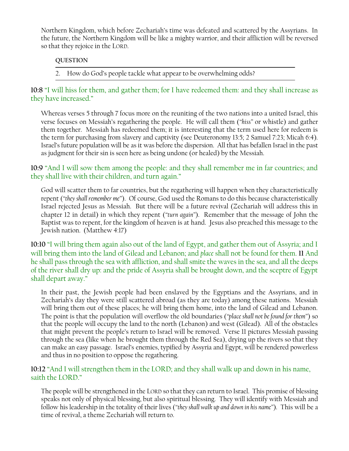Northern Kingdom, which before Zechariah's time was defeated and scattered by the Assyrians. In the future, the Northern Kingdom will be like a mighty warrior, and their affliction will be reversed so that they rejoice in the LORD.

#### **QUESTION**

2. How do God's people tackle what appear to be overwhelming odds?

**10:8** "I will hiss for them, and gather them; for I have redeemed them: and they shall increase as they have increased."

Whereas verses 5 through 7 focus more on the reuniting of the two nations into a united Israel, this verse focuses on Messiah's regathering the people. He will call them (*"hiss"* or whistle) and gather them together. Messiah has redeemed them; it is interesting that the term used here for redeem is the term for purchasing from slavery and captivity (see Deuteronomy 13:5; 2 Samuel 7:23; Micah 6:4). Israel's future population will be as it was before the dispersion. All that has befallen Israel in the past as judgment for their sin is seen here as being undone (or healed) by the Messiah.

**10:9** "And I will sow them among the people: and they shall remember me in far countries; and they shall live with their children, and turn again."

God will scatter them to far countries, but the regathering will happen when they characteristically repent (*"they shall remember me"*). Of course, God used the Romans to do this because characteristically Israel rejected Jesus as Messiah. But there will be a future revival (Zechariah will address this in chapter 12 in detail) in which they repent (*"turn again"*). Remember that the message of John the Baptist was to repent, for the kingdom of heaven is at hand. Jesus also preached this message to the Jewish nation. (Matthew 4:17)

**10:10** "I will bring them again also out of the land of Egypt, and gather them out of Assyria; and I will bring them into the land of Gilead and Lebanon; and *place* shall not be found for them. **11** And he shall pass through the sea with affliction, and shall smite the waves in the sea, and all the deeps of the river shall dry up: and the pride of Assyria shall be brought down, and the sceptre of Egypt shall depart away."

In their past, the Jewish people had been enslaved by the Egyptians and the Assyrians, and in Zechariah's day they were still scattered abroad (as they are today) among these nations. Messiah will bring them out of these places; he will bring them home, into the land of Gilead and Lebanon. The point is that the population will overflow the old boundaries (*"place shall not be found for them"*) so that the people will occupy the land to the north (Lebanon) and west (Gilead). All of the obstacles that might prevent the people's return to Israel will be removed. Verse 11 pictures Messiah passing through the sea (like when he brought them through the Red Sea), drying up the rivers so that they can make an easy passage. Israel's enemies, typified by Assyria and Egypt, will be rendered powerless and thus in no position to oppose the regathering.

### **10:12** "And I will strengthen them in the LORD; and they shall walk up and down in his name, saith the LORD."

The people will be strengthened in the LORD so that they can return to Israel. This promise of blessing speaks not only of physical blessing, but also spiritual blessing. They will identify with Messiah and follow his leadership in the totality of their lives (*"they shall walk up and down in his name"*). This will be a time of revival, a theme Zechariah will return to.